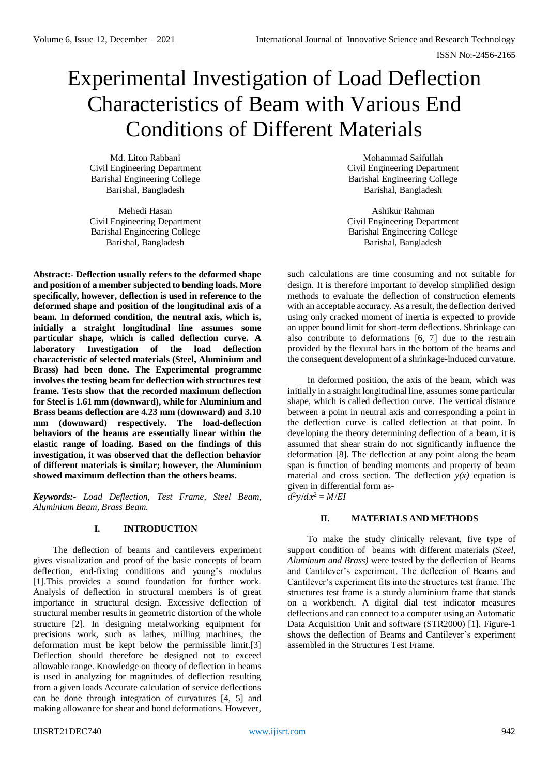# Experimental Investigation of Load Deflection Characteristics of Beam with Various End Conditions of Different Materials

Md. Liton Rabbani Civil Engineering Department Barishal Engineering College Barishal, Bangladesh

Mehedi Hasan Civil Engineering Department Barishal Engineering College Barishal, Bangladesh

**Abstract:- Deflection usually refers to the deformed shape and position of a member subjected to bending loads. More specifically, however, deflection is used in reference to the deformed shape and position of the longitudinal axis of a beam. In deformed condition, the neutral axis, which is, initially a straight longitudinal line assumes some particular shape, which is called deflection curve. A laboratory Investigation of the load deflection characteristic of selected materials (Steel, Aluminium and Brass) had been done. The Experimental programme involves the testing beam for deflection with structures test frame. Tests show that the recorded maximum deflection for Steel is 1.61 mm (downward), while for Aluminium and Brass beams deflection are 4.23 mm (downward) and 3.10 mm (downward) respectively. The load-deflection behaviors of the beams are essentially linear within the elastic range of loading. Based on the findings of this investigation, it was observed that the deflection behavior of different materials is similar; however, the Aluminium showed maximum deflection than the others beams.**

*Keywords:- Load Deflection, Test Frame, Steel Beam, Aluminium Beam, Brass Beam.*

# **I. INTRODUCTION**

The deflection of beams and cantilevers experiment gives visualization and proof of the basic concepts of beam deflection, end-fixing conditions and young's modulus [1].This provides a sound foundation for further work. Analysis of deflection in structural members is of great importance in structural design. Excessive deflection of structural member results in geometric distortion of the whole structure [2]. In designing metalworking equipment for precisions work, such as lathes, milling machines, the deformation must be kept below the permissible limit.[3] Deflection should therefore be designed not to exceed allowable range. Knowledge on theory of deflection in beams is used in analyzing for magnitudes of deflection resulting from a given loads Accurate calculation of service deflections can be done through integration of curvatures [4, 5] and making allowance for shear and bond deformations. However,

Mohammad Saifullah Civil Engineering Department Barishal Engineering College Barishal, Bangladesh

Ashikur Rahman Civil Engineering Department Barishal Engineering College Barishal, Bangladesh

such calculations are time consuming and not suitable for design. It is therefore important to develop simplified design methods to evaluate the deflection of construction elements with an acceptable accuracy. As a result, the deflection derived using only cracked moment of inertia is expected to provide an upper bound limit for short-term deflections. Shrinkage can also contribute to deformations [6, 7] due to the restrain provided by the flexural bars in the bottom of the beams and the consequent development of a shrinkage-induced curvature.

In deformed position, the axis of the beam, which was initially in a straight longitudinal line, assumes some particular shape, which is called deflection curve. The vertical distance between a point in neutral axis and corresponding a point in the deflection curve is called deflection at that point. In developing the theory determining deflection of a beam, it is assumed that shear strain do not significantly influence the deformation [8]. The deflection at any point along the beam span is function of bending moments and property of beam material and cross section. The deflection  $y(x)$  equation is given in differential form as  $d^2y/dx^2 = M/EI$ 

# **II. MATERIALS AND METHODS**

To make the study clinically relevant, five type of support condition of beams with different materials *(Steel, Aluminum and Brass)* were tested by the deflection of Beams and Cantilever's experiment. The deflection of Beams and Cantilever's experiment fits into the structures test frame. The structures test frame is a sturdy aluminium frame that stands on a workbench. A digital dial test indicator measures deflections and can connect to a computer using an Automatic Data Acquisition Unit and software (STR2000) [1]. Figure-1 shows the deflection of Beams and Cantilever's experiment assembled in the Structures Test Frame.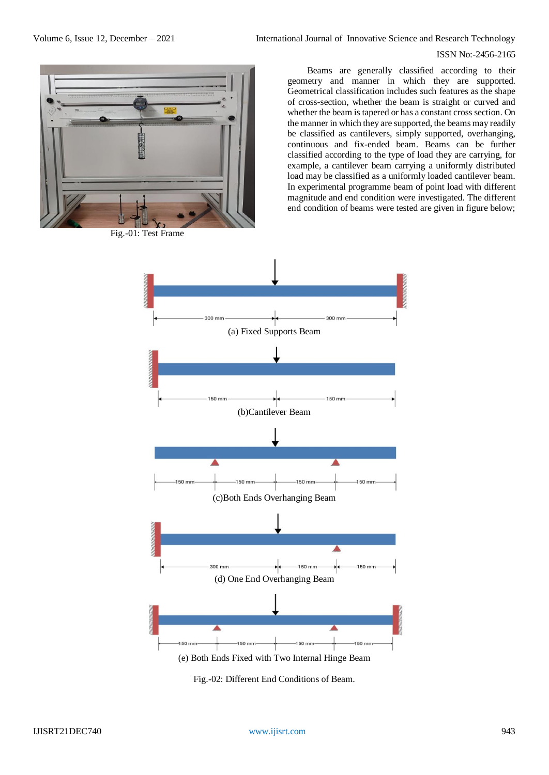# ISSN No:-2456-2165



Fig.-01: Test Frame

Beams are generally classified according to their geometry and manner in which they are supported. Geometrical classification includes such features as the shape of cross-section, whether the beam is straight or curved and whether the beam is tapered or has a constant cross section. On the manner in which they are supported, the beams may readily be classified as cantilevers, simply supported, overhanging, continuous and fix-ended beam. Beams can be further classified according to the type of load they are carrying, for example, a cantilever beam carrying a uniformly distributed load may be classified as a uniformly loaded cantilever beam. In experimental programme beam of point load with different magnitude and end condition were investigated. The different end condition of beams were tested are given in figure below;



Fig.-02: Different End Conditions of Beam.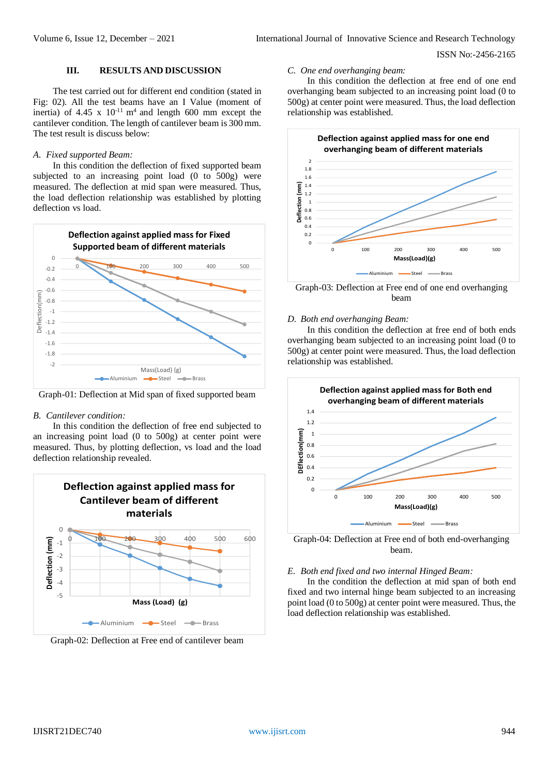# ISSN No:-2456-2165

# **III. RESULTS AND DISCUSSION**

The test carried out for different end condition (stated in Fig: 02). All the test beams have an I Value (moment of inertia) of 4.45 x  $10^{-11}$  m<sup>4</sup> and length 600 mm except the cantilever condition. The length of cantilever beam is 300 mm. The test result is discuss below:

# *A. Fixed supported Beam:*

In this condition the deflection of fixed supported beam subjected to an increasing point load (0 to 500g) were measured. The deflection at mid span were measured. Thus, the load deflection relationship was established by plotting deflection vs load.



Graph-01: Deflection at Mid span of fixed supported beam

#### *B. Cantilever condition:*

In this condition the deflection of free end subjected to an increasing point load (0 to 500g) at center point were measured. Thus, by plotting deflection, vs load and the load deflection relationship revealed.



Graph-02: Deflection at Free end of cantilever beam

#### *C. One end overhanging beam:*

In this condition the deflection at free end of one end overhanging beam subjected to an increasing point load (0 to 500g) at center point were measured. Thus, the load deflection relationship was established.





## *D. Both end overhanging Beam:*

In this condition the deflection at free end of both ends overhanging beam subjected to an increasing point load (0 to 500g) at center point were measured. Thus, the load deflection relationship was established.



Graph-04: Deflection at Free end of both end-overhanging beam.

## *E. Both end fixed and two internal Hinged Beam:*

In the condition the deflection at mid span of both end fixed and two internal hinge beam subjected to an increasing point load (0 to 500g) at center point were measured. Thus, the load deflection relationship was established.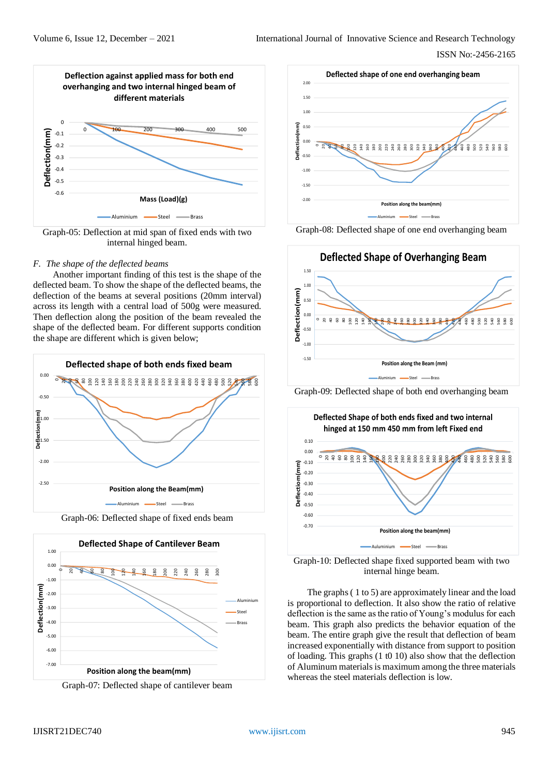

Graph-05: Deflection at mid span of fixed ends with two internal hinged beam.

# *F. The shape of the deflected beams*

Another important finding of this test is the shape of the deflected beam. To show the shape of the deflected beams, the deflection of the beams at several positions (20mm interval) across its length with a central load of 500g were measured. Then deflection along the position of the beam revealed the shape of the deflected beam. For different supports condition the shape are different which is given below;











Graph-08: Deflected shape of one end overhanging beam



Graph-09: Deflected shape of both end overhanging beam



Graph-10: Deflected shape fixed supported beam with two internal hinge beam.

The graphs ( 1 to 5) are approximately linear and the load is proportional to deflection. It also show the ratio of relative deflection is the same as the ratio of Young's modulus for each beam. This graph also predicts the behavior equation of the beam. The entire graph give the result that deflection of beam increased exponentially with distance from support to position of loading. This graphs (1 t0 10) also show that the deflection of Aluminum materials is maximum among the three materials whereas the steel materials deflection is low.